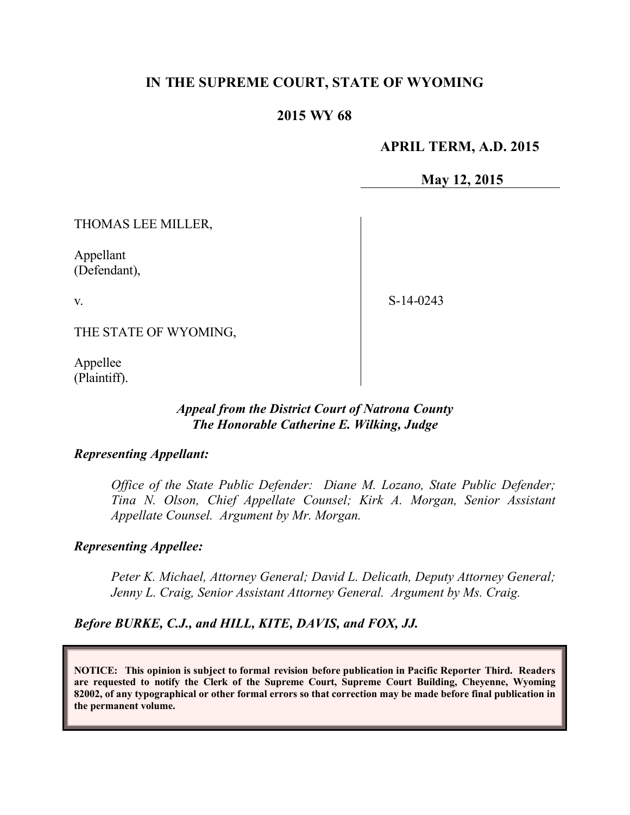# **IN THE SUPREME COURT, STATE OF WYOMING**

## **2015 WY 68**

## **APRIL TERM, A.D. 2015**

**May 12, 2015**

THOMAS LEE MILLER,

Appellant (Defendant),

v.

S-14-0243

THE STATE OF WYOMING,

Appellee (Plaintiff).

#### *Appeal from the District Court of Natrona County The Honorable Catherine E. Wilking, Judge*

#### *Representing Appellant:*

*Office of the State Public Defender: Diane M. Lozano, State Public Defender; Tina N. Olson, Chief Appellate Counsel; Kirk A. Morgan, Senior Assistant Appellate Counsel. Argument by Mr. Morgan.*

#### *Representing Appellee:*

*Peter K. Michael, Attorney General; David L. Delicath, Deputy Attorney General; Jenny L. Craig, Senior Assistant Attorney General. Argument by Ms. Craig.*

*Before BURKE, C.J., and HILL, KITE, DAVIS, and FOX, JJ.*

**NOTICE: This opinion is subject to formal revision before publication in Pacific Reporter Third. Readers are requested to notify the Clerk of the Supreme Court, Supreme Court Building, Cheyenne, Wyoming 82002, of any typographical or other formal errors so that correction may be made before final publication in the permanent volume.**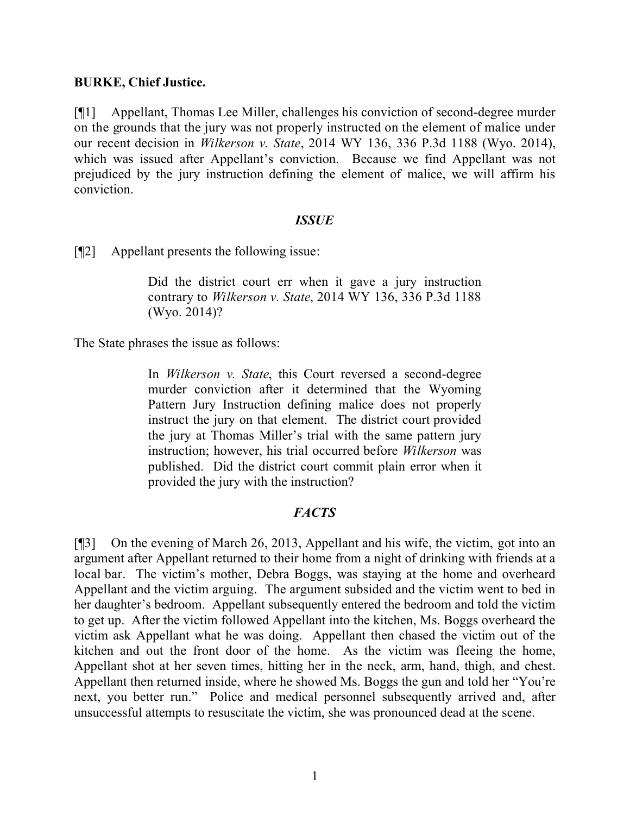## **BURKE, Chief Justice.**

[¶1] Appellant, Thomas Lee Miller, challenges his conviction of second-degree murder on the grounds that the jury was not properly instructed on the element of malice under our recent decision in *Wilkerson v. State*, 2014 WY 136, 336 P.3d 1188 (Wyo. 2014), which was issued after Appellant's conviction. Because we find Appellant was not prejudiced by the jury instruction defining the element of malice, we will affirm his conviction.

## *ISSUE*

[¶2] Appellant presents the following issue:

Did the district court err when it gave a jury instruction contrary to *Wilkerson v. State*, 2014 WY 136, 336 P.3d 1188 (Wyo. 2014)?

The State phrases the issue as follows:

In *Wilkerson v. State*, this Court reversed a second-degree murder conviction after it determined that the Wyoming Pattern Jury Instruction defining malice does not properly instruct the jury on that element. The district court provided the jury at Thomas Miller's trial with the same pattern jury instruction; however, his trial occurred before *Wilkerson* was published. Did the district court commit plain error when it provided the jury with the instruction?

## *FACTS*

[¶3] On the evening of March 26, 2013, Appellant and his wife, the victim, got into an argument after Appellant returned to their home from a night of drinking with friends at a local bar. The victim's mother, Debra Boggs, was staying at the home and overheard Appellant and the victim arguing. The argument subsided and the victim went to bed in her daughter's bedroom. Appellant subsequently entered the bedroom and told the victim to get up. After the victim followed Appellant into the kitchen, Ms. Boggs overheard the victim ask Appellant what he was doing. Appellant then chased the victim out of the kitchen and out the front door of the home. As the victim was fleeing the home, Appellant shot at her seven times, hitting her in the neck, arm, hand, thigh, and chest. Appellant then returned inside, where he showed Ms. Boggs the gun and told her "You're next, you better run." Police and medical personnel subsequently arrived and, after unsuccessful attempts to resuscitate the victim, she was pronounced dead at the scene.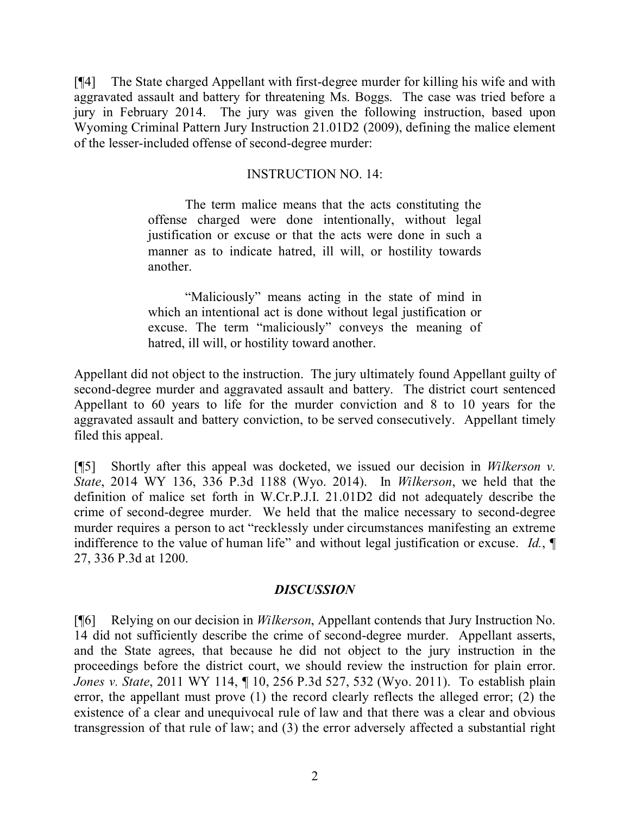[¶4] The State charged Appellant with first-degree murder for killing his wife and with aggravated assault and battery for threatening Ms. Boggs. The case was tried before a jury in February 2014. The jury was given the following instruction, based upon Wyoming Criminal Pattern Jury Instruction 21.01D2 (2009), defining the malice element of the lesser-included offense of second-degree murder:

## INSTRUCTION NO. 14:

The term malice means that the acts constituting the offense charged were done intentionally, without legal justification or excuse or that the acts were done in such a manner as to indicate hatred, ill will, or hostility towards another.

"Maliciously" means acting in the state of mind in which an intentional act is done without legal justification or excuse. The term "maliciously" conveys the meaning of hatred, ill will, or hostility toward another.

Appellant did not object to the instruction. The jury ultimately found Appellant guilty of second-degree murder and aggravated assault and battery. The district court sentenced Appellant to 60 years to life for the murder conviction and 8 to 10 years for the aggravated assault and battery conviction, to be served consecutively. Appellant timely filed this appeal.

[¶5] Shortly after this appeal was docketed, we issued our decision in *Wilkerson v. State*, 2014 WY 136, 336 P.3d 1188 (Wyo. 2014). In *Wilkerson*, we held that the definition of malice set forth in W.Cr.P.J.I. 21.01D2 did not adequately describe the crime of second-degree murder. We held that the malice necessary to second-degree murder requires a person to act "recklessly under circumstances manifesting an extreme indifference to the value of human life" and without legal justification or excuse. *Id.*, ¶ 27, 336 P.3d at 1200.

#### *DISCUSSION*

[¶6] Relying on our decision in *Wilkerson*, Appellant contends that Jury Instruction No. 14 did not sufficiently describe the crime of second-degree murder. Appellant asserts, and the State agrees, that because he did not object to the jury instruction in the proceedings before the district court, we should review the instruction for plain error. *Jones v. State*, 2011 WY 114, ¶ 10, 256 P.3d 527, 532 (Wyo. 2011). To establish plain error, the appellant must prove (1) the record clearly reflects the alleged error; (2) the existence of a clear and unequivocal rule of law and that there was a clear and obvious transgression of that rule of law; and (3) the error adversely affected a substantial right